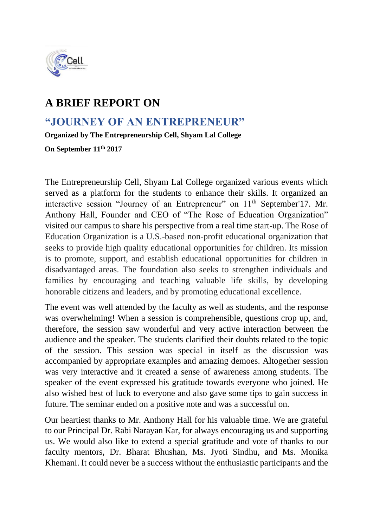

## **A BRIEF REPORT ON**

## **"JOURNEY OF AN ENTREPRENEUR"**

**Organized by The Entrepreneurship Cell, Shyam Lal College** 

**On September 11th 2017** 

The Entrepreneurship Cell, Shyam Lal College organized various events which served as a platform for the students to enhance their skills. It organized an interactive session "Journey of an Entrepreneur" on 11<sup>th</sup> September'17. Mr. Anthony Hall, Founder and CEO of "The Rose of Education Organization" visited our campus to share his perspective from a real time start-up. The Rose of Education Organization is a U.S.-based non-profit educational organization that seeks to provide high quality educational opportunities for children. Its mission is to promote, support, and establish educational opportunities for children in disadvantaged areas. The foundation also seeks to strengthen individuals and families by encouraging and teaching valuable life skills, by developing honorable citizens and leaders, and by promoting educational excellence.

The event was well attended by the faculty as well as students, and the response was overwhelming! When a session is comprehensible, questions crop up, and, therefore, the session saw wonderful and very active interaction between the audience and the speaker. The students clarified their doubts related to the topic of the session. This session was special in itself as the discussion was accompanied by appropriate examples and amazing demoes. Altogether session was very interactive and it created a sense of awareness among students. The speaker of the event expressed his gratitude towards everyone who joined. He also wished best of luck to everyone and also gave some tips to gain success in future. The seminar ended on a positive note and was a successful on.

Our heartiest thanks to Mr. Anthony Hall for his valuable time. We are grateful to our Principal Dr. Rabi Narayan Kar, for always encouraging us and supporting us. We would also like to extend a special gratitude and vote of thanks to our faculty mentors, Dr. Bharat Bhushan, Ms. Jyoti Sindhu, and Ms. Monika Khemani. It could never be a success without the enthusiastic participants and the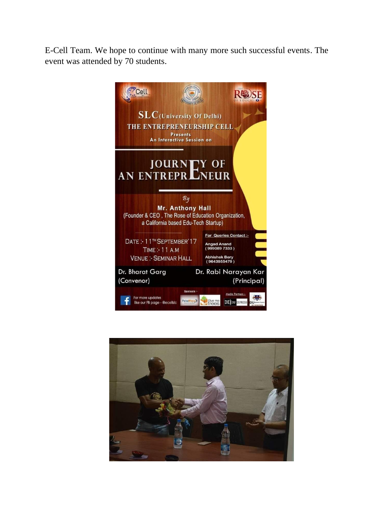E-Cell Team. We hope to continue with many more such successful events. The event was attended by 70 students.